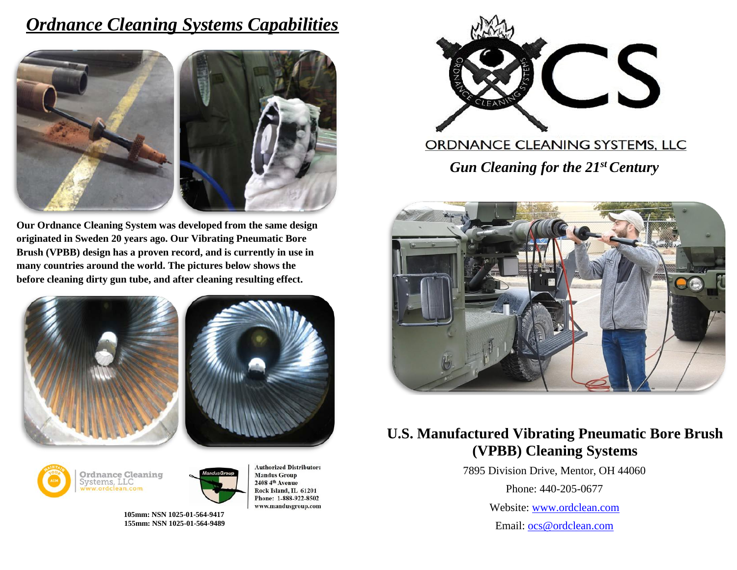## *Ordnance Cleaning Systems Capabilities*



**Our Ordnance Cleaning System was developed from the same design originated in Sweden 20 years ago. Our Vibrating Pneumatic Bore Brush (VPBB) design has a proven record, and is currently in use in many countries around the world. The pictures below shows the before cleaning dirty gun tube, and after cleaning resulting effect.**









 **105mm: NSN 1025-01-564-9417 155mm: NSN 1025-01-564-9489**

**Authorized Distributor: Mandus Group** 2408 4th Avenue Rock Island, IL 61201 Phone: 1-888-922-8502 www.mandusgroup.com



#### ORDNANCE CLEANING SYSTEMS, LLC

*Gun Cleaning for the 21st Century*



#### **U.S. Manufactured Vibrating Pneumatic Bore Brush (VPBB) Cleaning Systems**

7895 Division Drive, Mentor, OH 44060

Phone: 440-205-0677

Website: [www.ordclean.com](http://www.ordclean.com/)

Email: [ocs@ordclean.com](mailto:ocs@ordclean.com)